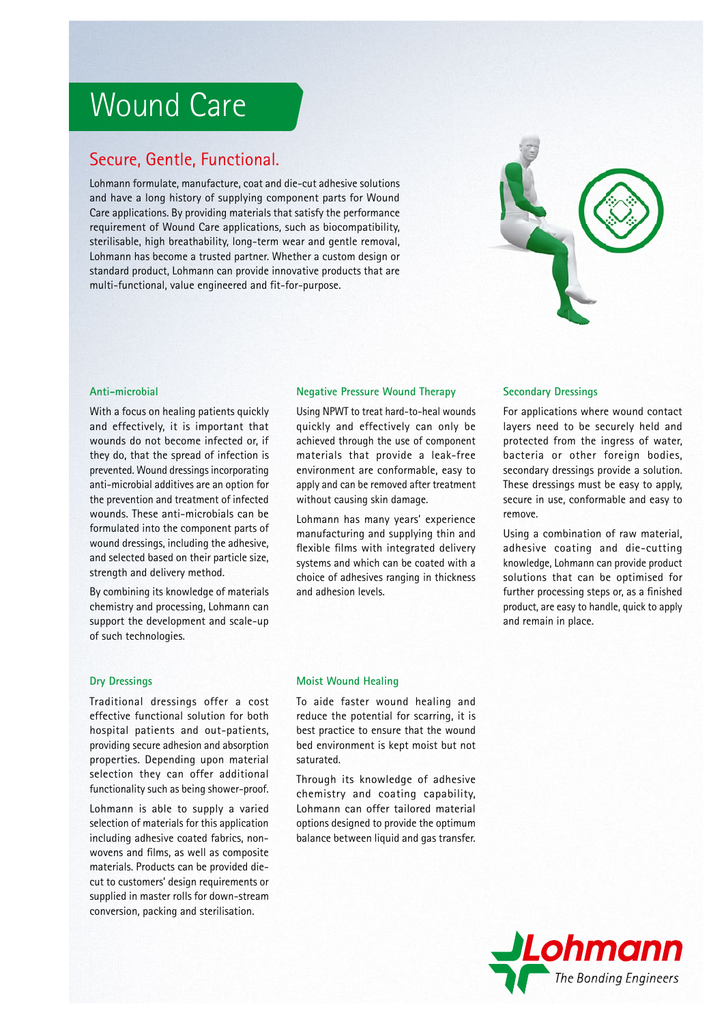# Wound Care

## Secure, Gentle, Functional.

Lohmann formulate, manufacture, coat and die-cut adhesive solutions and have a long history of supplying component parts for Wound Care applications. By providing materials that satisfy the performance requirement of Wound Care applications, such as biocompatibility, sterilisable, high breathability, long-term wear and gentle removal, Lohmann has become a trusted partner. Whether a custom design or standard product, Lohmann can provide innovative products that are multi-functional, value engineered and fit-for-purpose.



With a focus on healing patients quickly and effectively, it is important that wounds do not become infected or, if they do, that the spread of infection is prevented. Wound dressings incorporating anti-microbial additives are an option for the prevention and treatment of infected wounds. These anti-microbials can be formulated into the component parts of wound dressings, including the adhesive, and selected based on their particle size, strength and delivery method.

By combining its knowledge of materials chemistry and processing, Lohmann can support the development and scale-up of such technologies.

Using NPWT to treat hard-to-heal wounds quickly and effectively can only be achieved through the use of component materials that provide a leak-free environment are conformable, easy to apply and can be removed after treatment without causing skin damage.

Lohmann has many years' experience manufacturing and supplying thin and flexible films with integrated delivery systems and which can be coated with a choice of adhesives ranging in thickness and adhesion levels.

## **Anti-microbial Negative Pressure Wound Therapy Secondary Dressings**

For applications where wound contact layers need to be securely held and protected from the ingress of water, bacteria or other foreign bodies, secondary dressings provide a solution. These dressings must be easy to apply, secure in use, conformable and easy to remove.

Using a combination of raw material, adhesive coating and die-cutting knowledge, Lohmann can provide product solutions that can be optimised for further processing steps or, as a finished product, are easy to handle, quick to apply and remain in place.

Traditional dressings offer a cost effective functional solution for both hospital patients and out-patients, providing secure adhesion and absorption properties. Depending upon material selection they can offer additional functionality such as being shower-proof.

Lohmann is able to supply a varied selection of materials for this application including adhesive coated fabrics, nonwovens and films, as well as composite materials. Products can be provided diecut to customers' design requirements or supplied in master rolls for down-stream conversion, packing and sterilisation.

### **Dry Dressings Moist Wound Healing**

To aide faster wound healing and reduce the potential for scarring, it is best practice to ensure that the wound bed environment is kept moist but not saturated.

Through its knowledge of adhesive chemistry and coating capability, Lohmann can offer tailored material options designed to provide the optimum balance between liquid and gas transfer.